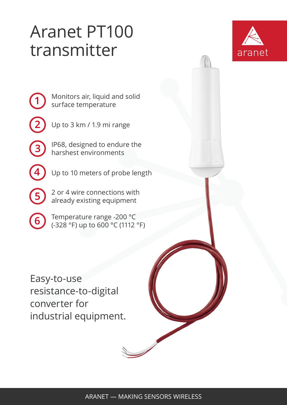## Aranet PT100 transmitter



Monitors air, liquid and solid surface temperature

**2**

**3**

**4**

**5**

**1**

Up to 3 km / 1.9 mi range

IP68, designed to endure the harshest environments

Up to 10 meters of probe length

2 or 4 wire connections with already existing equipment

**6** Temperature range -200 °C (-328 °F) up to 600 °C (1112 °F)

Easy-to-use resistance-to-digital converter for industrial equipment.